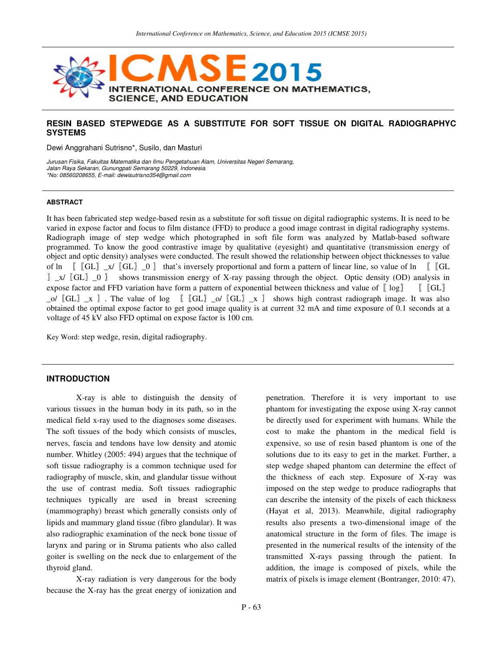

## **RESIN BASED STEPWEDGE AS A SUBSTITUTE FOR SOFT TISSUE ON DIGITAL RADIOGRAPHYC SYSTEMS**

Dewi Anggrahani Sutrisno\*, Susilo, dan Masturi

Jurusan Fisika, Fakultas Matematika dan Ilmu Pengetahuan Alam, Universitas Negeri Semarang, Jalan Raya Sekaran, Gunungpati Semarang 50229, Indonesia. \*No: 08560208655, E-mail: dewisutrisno354@gmail.com

#### **ABSTRACT**

It has been fabricated step wedge-based resin as a substitute for soft tissue on digital radiographic systems. It is need to be varied in expose factor and focus to film distance (FFD) to produce a good image contrast in digital radiography systems. Radiograph image of step wedge which photographed in soft file form was analyzed by Matlab-based software programmed. To know the good contrastive image by qualitative (eyesight) and quantitative (transmission energy of object and optic density) analyses were conducted. The result showed the relationship between object thicknesses to value of ln  $\left[\begin{array}{cc} \Box \end{array}\right]$   $\Box x/\left[\begin{array}{cc} GL \end{array}\right]$   $\Box 0$   $\left[\begin{array}{cc}$  that's inversely proportional and form a pattern of linear line, so value of ln  $\left[\begin{array}{cc} GL \end{array}\right]$  $\parallel$  x/ $\parallel$ GL $\parallel$  0  $\parallel$  shows transmission energy of X-ray passing through the object. Optic density (OD) analysis in expose factor and FFD variation have form a pattern of exponential between thickness and value of  $\lbrack \log \rbrack$   $\lbrack \left( GL\right)$  $\lceil \text{GL} \rceil$   $\lceil x \rceil$  . The value of log  $\lceil \text{GL} \rceil$   $\lceil \text{GL} \rceil$   $\lceil x \rceil$  shows high contrast radiograph image. It was also obtained the optimal expose factor to get good image quality is at current 32 mA and time exposure of 0.1 seconds at a voltage of 45 kV also FFD optimal on expose factor is 100 cm.

Key Word: step wedge, resin, digital radiography.

## **INTRODUCTION**

X-ray is able to distinguish the density of various tissues in the human body in its path, so in the medical field x-ray used to the diagnoses some diseases. The soft tissues of the body which consists of muscles, nerves, fascia and tendons have low density and atomic number. Whitley (2005: 494) argues that the technique of soft tissue radiography is a common technique used for radiography of muscle, skin, and glandular tissue without the use of contrast media. Soft tissues radiographic techniques typically are used in breast screening (mammography) breast which generally consists only of lipids and mammary gland tissue (fibro glandular). It was also radiographic examination of the neck bone tissue of larynx and paring or in Struma patients who also called goiter is swelling on the neck due to enlargement of the thyroid gland.

X-ray radiation is very dangerous for the body because the X-ray has the great energy of ionization and penetration. Therefore it is very important to use phantom for investigating the expose using X-ray cannot be directly used for experiment with humans. While the cost to make the phantom in the medical field is expensive, so use of resin based phantom is one of the solutions due to its easy to get in the market. Further, a step wedge shaped phantom can determine the effect of the thickness of each step. Exposure of X-ray was imposed on the step wedge to produce radiographs that can describe the intensity of the pixels of each thickness (Hayat et al, 2013). Meanwhile, digital radiography results also presents a two-dimensional image of the anatomical structure in the form of files. The image is presented in the numerical results of the intensity of the transmitted X-rays passing through the patient. In addition, the image is composed of pixels, while the matrix of pixels is image element (Bontranger, 2010: 47).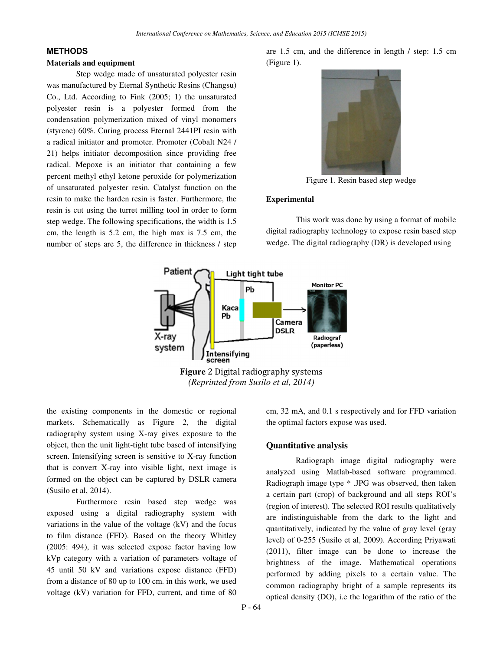# **METHODS**

## **Materials and equipment**

Step wedge made of unsaturated polyester resin was manufactured by Eternal Synthetic Resins (Changsu) Co., Ltd. According to Fink (2005; 1) the unsaturated polyester resin is a polyester formed from the condensation polymerization mixed of vinyl monomers (styrene) 60%. Curing process Eternal 2441PI resin with a radical initiator and promoter. Promoter (Cobalt N24 / 21) helps initiator decomposition since providing free radical. Mepoxe is an initiator that containing a few percent methyl ethyl ketone peroxide for polymerization of unsaturated polyester resin. Catalyst function on the resin to make the harden resin is faster. Furthermore, the resin is cut using the turret milling tool in order to form step wedge. The following specifications, the width is 1.5 cm, the length is 5.2 cm, the high max is 7.5 cm, the number of steps are 5, the difference in thickness / step are 1.5 cm, and the difference in length / step: 1.5 cm (Figure 1).



Figure 1. Resin based step wedge

### **Experimental**

This work was done by using a format of mobile digital radiography technology to expose resin based step wedge. The digital radiography (DR) is developed using



*(Reprinted from Susilo et al, 2014)* 

the existing components in the domestic or regional markets. Schematically as Figure 2, the digital radiography system using X-ray gives exposure to the object, then the unit light-tight tube based of intensifying screen. Intensifying screen is sensitive to X-ray function that is convert X-ray into visible light, next image is formed on the object can be captured by DSLR camera (Susilo et al, 2014).

Furthermore resin based step wedge was exposed using a digital radiography system with variations in the value of the voltage (kV) and the focus to film distance (FFD). Based on the theory Whitley (2005: 494), it was selected expose factor having low kVp category with a variation of parameters voltage of 45 until 50 kV and variations expose distance (FFD) from a distance of 80 up to 100 cm. in this work, we used voltage (kV) variation for FFD, current, and time of 80

cm, 32 mA, and 0.1 s respectively and for FFD variation the optimal factors expose was used.

## **Quantitative analysis**

Radiograph image digital radiography were analyzed using Matlab-based software programmed. Radiograph image type \* .JPG was observed, then taken a certain part (crop) of background and all steps ROI's (region of interest). The selected ROI results qualitatively are indistinguishable from the dark to the light and quantitatively, indicated by the value of gray level (gray level) of 0-255 (Susilo et al, 2009). According Priyawati (2011), filter image can be done to increase the brightness of the image. Mathematical operations performed by adding pixels to a certain value. The common radiography bright of a sample represents its optical density (DO), i.e the logarithm of the ratio of the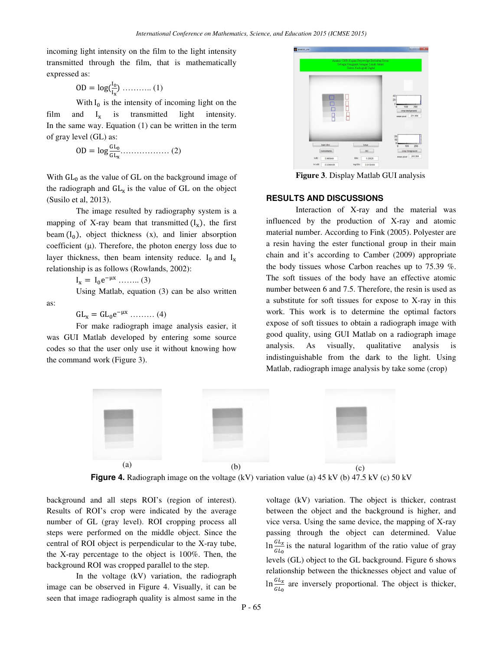incoming light intensity on the film to the light intensity transmitted through the film, that is mathematically expressed as:

$$
OD = \log(\frac{I_0}{I_x}) \dots \dots \dots \dots (1)
$$

With  $I_0$  is the intensity of incoming light on the film and  $I_x$  is transmitted light intensity. In the same way. Equation  $(1)$  can be written in the term of gray level (GL) as:

$$
OD = \log \frac{GL_0}{GL_x} \dots \dots \dots \dots \dots \dots \tag{2}
$$

With  $GL_0$  as the value of GL on the background image of the radiograph and  $GL_x$  is the value of  $GL$  on the object (Susilo et al, 2013).

The image resulted by radiography system is a mapping of X-ray beam that transmitted  $(I_x)$ , the first beam  $(I_0)$ , object thickness  $(x)$ , and linier absorption coefficient  $(\mu)$ . Therefore, the photon energy loss due to layer thickness, then beam intensity reduce.  $I_0$  and  $I_x$ relationship is as follows (Rowlands, 2002):

 $I_x = I_0 e^{-\mu x}$  ........ (3)

Using Matlab, equation (3) can be also written

as:

 $GL_x = GL_0 e^{-\mu x}$  ......... (4)

For make radiograph image analysis easier, it was GUI Matlab developed by entering some source codes so that the user only use it without knowing how the command work (Figure 3).



**Figure 3**. Display Matlab GUI analysis

### **RESULTS AND DISCUSSIONS**

Interaction of X-ray and the material was influenced by the production of X-ray and atomic material number. According to Fink (2005). Polyester are a resin having the ester functional group in their main chain and it's according to Camber (2009) appropriate the body tissues whose Carbon reaches up to 75.39 %. The soft tissues of the body have an effective atomic number between 6 and 7.5. Therefore, the resin is used as a substitute for soft tissues for expose to X-ray in this work. This work is to determine the optimal factors expose of soft tissues to obtain a radiograph image with good quality, using GUI Matlab on a radiograph image analysis. As visually, qualitative analysis is indistinguishable from the dark to the light. Using Matlab, radiograph image analysis by take some (crop)



**Figure 4.** Radiograph image on the voltage (kV) variation value (a) 45 kV (b) 47.5 kV (c) 50 kV

background and all steps ROI's (region of interest). Results of ROI's crop were indicated by the average number of GL (gray level). ROI cropping process all steps were performed on the middle object. Since the central of ROI object is perpendicular to the X-ray tube, the X-ray percentage to the object is 100%. Then, the background ROI was cropped parallel to the step.

In the voltage (kV) variation, the radiograph image can be observed in Figure 4. Visually, it can be seen that image radiograph quality is almost same in the

voltage (kV) variation. The object is thicker, contrast between the object and the background is higher, and vice versa. Using the same device, the mapping of X-ray passing through the object can determined. Value  $\ln \frac{GL_x}{GL_0}$  is the natural logarithm of the ratio value of gray levels (GL) object to the GL background. Figure 6 shows relationship between the thicknesses object and value of  $\ln \frac{GL_x}{GL_0}$  are inversely proportional. The object is thicker,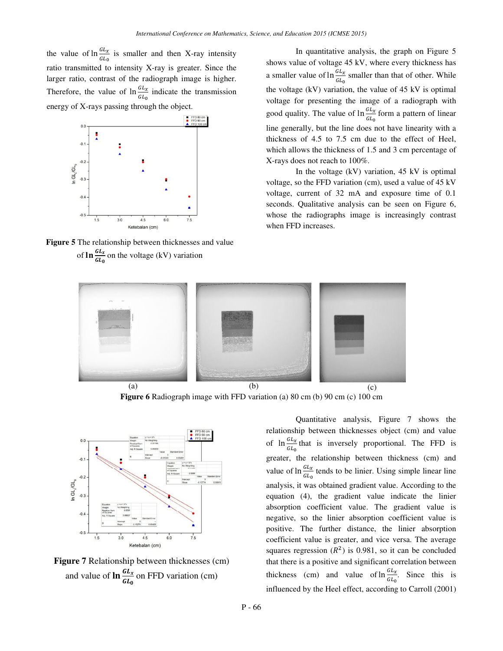the value of  $\ln \frac{GL_x}{GL_0}$  is smaller and then X-ray intensity ratio transmitted to intensity X-ray is greater. Since the larger ratio, contrast of the radiograph image is higher. Therefore, the value of  $\ln \frac{GL_{\chi}}{GL_0}$  indicate the transmission energy of X-rays passing through the object.





In quantitative analysis, the graph on Figure 5 shows value of voltage 45 kV, where every thickness has a smaller value of  $\ln \frac{GL_x}{GL_0}$  smaller than that of other. While the voltage (kV) variation, the value of 45 kV is optimal voltage for presenting the image of a radiograph with good quality. The value of  $\ln \frac{GL_x}{GL_0}$  form a pattern of linear line generally, but the line does not have linearity with a thickness of 4.5 to 7.5 cm due to the effect of Heel, which allows the thickness of 1.5 and 3 cm percentage of X-rays does not reach to 100%.

In the voltage (kV) variation, 45 kV is optimal voltage, so the FFD variation (cm), used a value of 45 kV voltage, current of 32 mA and exposure time of 0.1 seconds. Qualitative analysis can be seen on Figure 6, whose the radiographs image is increasingly contrast when FFD increases.







**Figure 7** Relationship between thicknesses (cm) and value of  $\ln \frac{GL_x}{GL_0}$  on FFD variation (cm)

Quantitative analysis, Figure 7 shows the relationship between thicknesses object (cm) and value of  $\ln \frac{GL_x}{GL_0}$  that is inversely proportional. The FFD is greater, the relationship between thickness (cm) and value of  $\ln \frac{GL_x}{GL_0}$  tends to be linier. Using simple linear line analysis, it was obtained gradient value. According to the equation (4), the gradient value indicate the linier absorption coefficient value. The gradient value is negative, so the linier absorption coefficient value is positive. The further distance, the linier absorption coefficient value is greater, and vice versa. The average squares regression  $(R^2)$  is 0.981, so it can be concluded that there is a positive and significant correlation between thickness (cm) and value of  $\ln \frac{GL_x}{GL_0}$ . Since this is influenced by the Heel effect, according to Carroll (2001)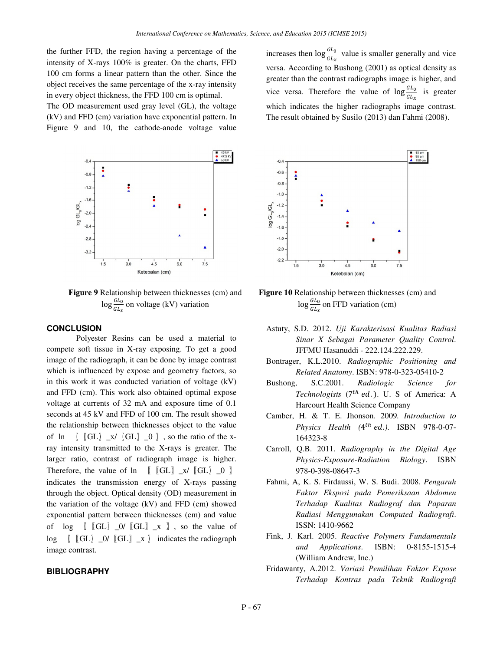the further FFD, the region having a percentage of the intensity of X-rays 100% is greater. On the charts, FFD 100 cm forms a linear pattern than the other. Since the object receives the same percentage of the x-ray intensity in every object thickness, the FFD 100 cm is optimal.

The OD measurement used gray level (GL), the voltage (kV) and FFD (cm) variation have exponential pattern. In Figure 9 and 10, the cathode-anode voltage value



**Figure 9** Relationship between thicknesses (cm) and  $\log \frac{GL_0}{GL_x}$  on voltage (kV) variation

## **CONCLUSION**

Polyester Resins can be used a material to compete soft tissue in X-ray exposing. To get a good image of the radiograph, it can be done by image contrast which is influenced by expose and geometry factors, so in this work it was conducted variation of voltage (kV) and FFD (cm). This work also obtained optimal expose voltage at currents of 32 mA and exposure time of 0.1 seconds at 45 kV and FFD of 100 cm. The result showed the relationship between thicknesses object to the value of  $\ln$   $[$   $[$   $GL$  $]$   $_x$ /  $[$   $GL$  $]$   $_0$   $]$  , so the ratio of the xray intensity transmitted to the X-rays is greater. The larger ratio, contrast of radiograph image is higher. Therefore, the value of ln  $[[GL]_{X}/[[GL]_{0}]_{0}$ indicates the transmission energy of X-rays passing through the object. Optical density (OD) measurement in the variation of the voltage (kV) and FFD (cm) showed exponential pattern between thicknesses (cm) and value of  $log$   $[GL]$   $[OL]$   $K$  , so the value of  $log$   $[$   $[$   $GL$   $]$   $O$ /  $[$   $GL$   $]$   $x$   $]$  indicates the radiograph image contrast.

### **BIBLIOGRAPHY**

increases then  $\log \frac{GL_0}{GL_x}$  value is smaller generally and vice versa. According to Bushong (2001) as optical density as greater than the contrast radiographs image is higher, and vice versa. Therefore the value of  $\log \frac{GL_0}{GL_x}$  is greater which indicates the higher radiographs image contrast. The result obtained by Susilo (2013) dan Fahmi (2008).



**Figure 10** Relationship between thicknesses (cm) and  $\log \frac{GL_0}{GL_x}$  on FFD variation (cm)

- Astuty, S.D. 2012. *Uji Karakterisasi Kualitas Radiasi Sinar X Sebagai Parameter Quality Control*. JFFMU Hasanuddi - 222.124.222.229.
- Bontrager, K.L.2010. *Radiographic Positioning and Related Anatomy*. ISBN: 978-0-323-05410-2
- Bushong, S.C.2001. *Radiologic Science for*  Technologists (7<sup>th</sup> ed.). U. S of America: A Harcourt Health Science Company
- Camber, H. & T. E. Jhonson. 2009*. Introduction to Physics Health (*4<sup>th</sup> ed.). ISBN 978-0-07-164323-8
- Carroll, Q.B. 2011. *Radiography in the Digital Age Physics-Exposure-Radiation Biology*. ISBN 978-0-398-08647-3
- Fahmi, A, K. S. Firdaussi, W. S. Budi. 2008. *Pengaruh Faktor Eksposi pada Pemeriksaan Abdomen Terhadap Kualitas Radiograf dan Paparan Radiasi Menggunakan Computed Radiografi*. ISSN: 1410-9662
- Fink, J. Karl. 2005. *Reactive Polymers Fundamentals and Applications*. ISBN: 0-8155-1515-4 (William Andrew, Inc.)
- Fridawanty, A.2012. *Variasi Pemilihan Faktor Expose Terhadap Kontras pada Teknik Radiografi*